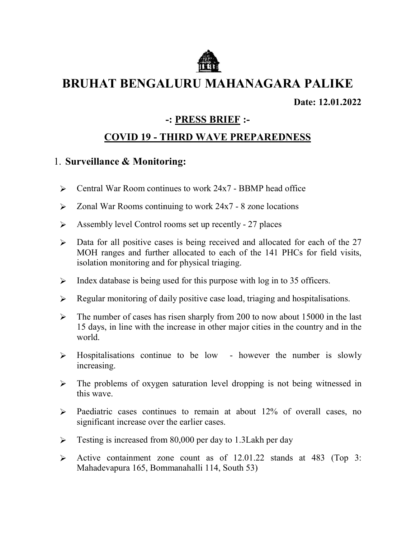

# BRUHAT BENGALURU BENGALURU MAHANAGARA PALIKE

Date: Date: 12.01.2022

# -: PRESS BRIEF :-

# COVID 19 - THIRD WAVE PREPAREDNESS

#### 1. Surveillance & Monitoring:

- $\triangleright$  Central War Room continues to work 24x7 BBMP head office
- $\geq$  Zonal War Rooms continuing to work 24x7 8 zone locations
- S Assembly level Control rooms set up recently 27 places
- $\triangleright$  Data for all positive cases is being received and allocated for each of the 27 MOH ranges and further allocated to each of the 141 PHCs for field visits, isolation monitoring and for physical triaging.
- $\triangleright$  Index database is being used for this purpose with log in to 35 officers.
- Equar monitoring of daily positive case load, triaging and hospitalisations.
- b The number of cases has risen sharply from 200 to now about 15000 in the last hospitalisations. in the number of cases has risen sharply from 200 to now about 15000 in the last  $\theta$  in the last 15 days, in line with the increase in other major cities in the country and in the world.
- $\triangleright$  Hospitalisations continue to be low however the number is slowly increasing.
- $\triangleright$  The problems of oxygen saturation level dropping is not being witnessed in this wave.
- $\triangleright$  Paediatric cases continues to remain at about 12% of overall cases, no significant increase over the earlier cases.
- $\triangleright$  Testing is increased from 80,000 per day to 1.3Lakh per day
- Active containment zone count as of 12.01.22 stands at 483 (Top 3: Mahadevapura 165, Bommanahalli 114, South 53)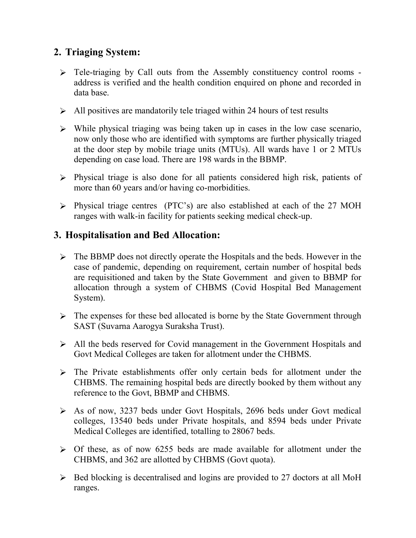# 2. Triaging System:

- > Tele-triaging by Call outs from the Assembly constituency control rooms address is verified and the health condition enquired on phone and recorded in data base.
- $\triangleright$  All positives are mandatorily tele triaged within 24 hours of test results
- $\triangleright$  While physical triaging was being taken up in cases in the low case scenario, now only those who are identified with symptoms are further physically triaged at the door step by mobile triage units (MTUs). All wards have 1 or 2 MTUs depending on case load. There are 198 wards in the BBMP.
- $\triangleright$  Physical triage is also done for all patients considered high risk, patients of more than 60 years and/or having co-morbidities.
- Physical triage centres (PTC's) are also established at each of the 27 MOH ranges with walk-in facility for patients seeking medical check-up.

#### 3. Hospitalisation and Bed Allocation:

- $\triangleright$  The BBMP does not directly operate the Hospitals and the beds. However in the case of pandemic, depending on requirement, certain number of hospital beds are requisitioned and taken by the State Government and given to BBMP for allocation through a system of CHBMS (Covid Hospital Bed Management System).
- $\triangleright$  The expenses for these bed allocated is borne by the State Government through SAST (Suvarna Aarogya Suraksha Trust).
- All the beds reserved for Covid management in the Government Hospitals and Govt Medical Colleges are taken for allotment under the CHBMS.
- > The Private establishments offer only certain beds for allotment under the CHBMS. The remaining hospital beds are directly booked by them without any reference to the Govt, BBMP and CHBMS.
- As of now, 3237 beds under Govt Hospitals, 2696 beds under Govt medical colleges, 13540 beds under Private hospitals, and 8594 beds under Private Medical Colleges are identified, totalling to 28067 beds.
- $\triangleright$  Of these, as of now 6255 beds are made available for allotment under the CHBMS, and 362 are allotted by CHBMS (Govt quota).
- $\triangleright$  Bed blocking is decentralised and logins are provided to 27 doctors at all MoH ranges.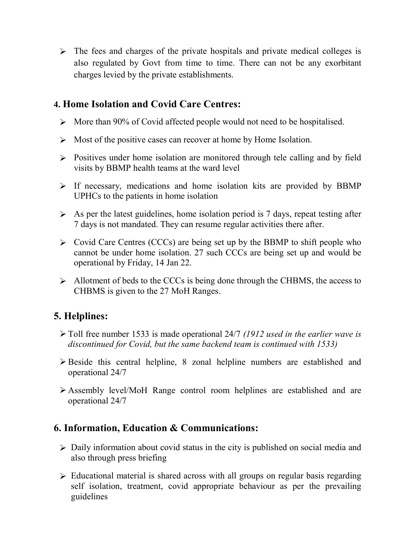$\triangleright$  The fees and charges of the private hospitals and private medical colleges is also regulated by Govt from time to time. There can not be any exorbitant charges levied by the private establishments.

#### 4. Home Isolation and Covid Care Centres:

- $\triangleright$  More than 90% of Covid affected people would not need to be hospitalised.
- $\triangleright$  Most of the positive cases can recover at home by Home Isolation.
- $\triangleright$  Positives under home isolation are monitored through tele calling and by field visits by BBMP health teams at the ward level
- $\triangleright$  If necessary, medications and home isolation kits are provided by BBMP UPHCs to the patients in home isolation
- $\triangleright$  As per the latest guidelines, home isolation period is 7 days, repeat testing after 7 days is not mandated. They can resume regular activities there after.
- $\triangleright$  Covid Care Centres (CCCs) are being set up by the BBMP to shift people who cannot be under home isolation. 27 such CCCs are being set up and would be operational by Friday, 14 Jan 22.
- $\triangleright$  Allotment of beds to the CCCs is being done through the CHBMS, the access to CHBMS is given to the 27 MoH Ranges.

# 5. Helplines:

- $\triangleright$  Toll free number 1533 is made operational 24/7 (1912 used in the earlier wave is discontinued for Covid, but the same backend team is continued with 1533)
- $\triangleright$  Beside this central helpline, 8 zonal helpline numbers are established and operational 24/7
- Assembly level/MoH Range control room helplines are established and are operational 24/7

# 6. Information, Education & Communications:

- Daily information about covid status in the city is published on social media and also through press briefing
- Educational material is shared across with all groups on regular basis regarding self isolation, treatment, covid appropriate behaviour as per the prevailing guidelines